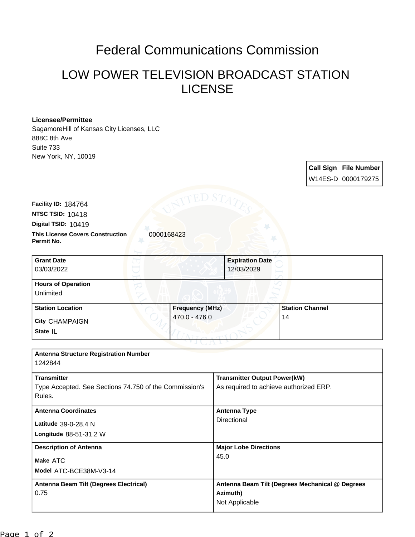## Federal Communications Commission

## LOW POWER TELEVISION BROADCAST STATION LICENSE

## **Licensee/Permittee**

**Permit No.**

SagamoreHill of Kansas City Licenses, LLC 888C 8th Ave Suite 733 New York, NY, 10019

> **Call Sign File Number** W14ES-D 0000179275

**This License Covers Construction**  0000168423 **Digital TSID:** 10419 **NTSC TSID:** 10418 **Facility ID:** 184764

| <b>Grant Date</b><br>03/03/2022        | <b>Expiration Date</b><br>12/03/2029 |                        |
|----------------------------------------|--------------------------------------|------------------------|
| <b>Hours of Operation</b><br>Unlimited |                                      |                        |
| <b>Station Location</b>                | <b>Frequency (MHz)</b>               | <b>Station Channel</b> |
| <b>City CHAMPAIGN</b><br>State IL      | 470.0 - 476.0                        | 14                     |

| <b>Antenna Structure Registration Number</b><br>1242844          |                                                 |
|------------------------------------------------------------------|-------------------------------------------------|
| <b>Transmitter</b>                                               | <b>Transmitter Output Power(kW)</b>             |
| Type Accepted. See Sections 74.750 of the Commission's<br>Rules. | As required to achieve authorized ERP.          |
| <b>Antenna Coordinates</b>                                       | <b>Antenna Type</b>                             |
| Latitude 39-0-28.4 N                                             | Directional                                     |
| <b>Longitude 88-51-31.2 W</b>                                    |                                                 |
| <b>Description of Antenna</b>                                    | <b>Major Lobe Directions</b>                    |
| Make ATC                                                         | 45.0                                            |
| Model ATC-BCE38M-V3-14                                           |                                                 |
| Antenna Beam Tilt (Degrees Electrical)                           | Antenna Beam Tilt (Degrees Mechanical @ Degrees |
| 0.75                                                             | Azimuth)                                        |
|                                                                  | Not Applicable                                  |